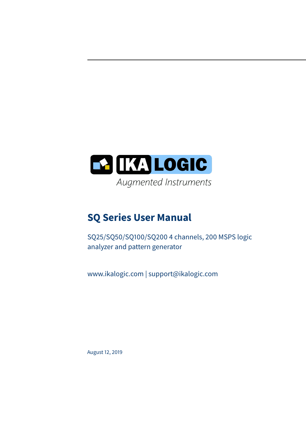

## **SQ Series User Manual**

SQ25/SQ50/SQ100/SQ200 4 channels, 200 MSPS logic analyzer and pattern generator

www.ikalogic.com | support@ikalogic.com

August 12, 2019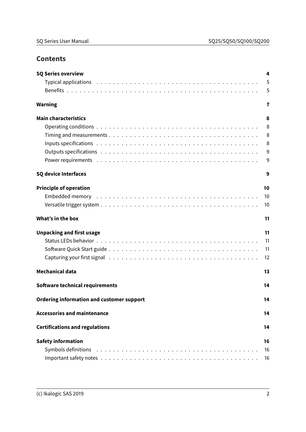## **Contents**

| <b>SQ Series overview</b>                                                                                                                                                                                                      | 4  |
|--------------------------------------------------------------------------------------------------------------------------------------------------------------------------------------------------------------------------------|----|
|                                                                                                                                                                                                                                | 5  |
|                                                                                                                                                                                                                                | 5  |
| <b>Warning</b>                                                                                                                                                                                                                 | 7  |
| <b>Main characteristics</b>                                                                                                                                                                                                    | 8  |
|                                                                                                                                                                                                                                | 8  |
|                                                                                                                                                                                                                                | 8  |
|                                                                                                                                                                                                                                | 8  |
|                                                                                                                                                                                                                                | 9  |
|                                                                                                                                                                                                                                | 9  |
| <b>SQ device Interfaces</b>                                                                                                                                                                                                    | 9  |
| <b>Principle of operation</b>                                                                                                                                                                                                  | 10 |
|                                                                                                                                                                                                                                | 10 |
|                                                                                                                                                                                                                                | 10 |
| What's in the box                                                                                                                                                                                                              | 11 |
| <b>Unpacking and first usage</b>                                                                                                                                                                                               | 11 |
|                                                                                                                                                                                                                                | 11 |
|                                                                                                                                                                                                                                | 11 |
|                                                                                                                                                                                                                                | 12 |
| <b>Mechanical data</b>                                                                                                                                                                                                         | 13 |
| Software technical requirements                                                                                                                                                                                                | 14 |
| <b>Ordering information and customer support</b>                                                                                                                                                                               | 14 |
| <b>Accessories and maintenance</b>                                                                                                                                                                                             | 14 |
| <b>Certifications and regulations</b>                                                                                                                                                                                          | 14 |
| <b>Safety information</b>                                                                                                                                                                                                      | 16 |
| Symbols definitions (all contacts and contacts are contact as a series of the symbols definitions (all contacts are contact at a series of the symbols definitions (all contacts) and the symbols definitions of the symbols d | 16 |
|                                                                                                                                                                                                                                | 16 |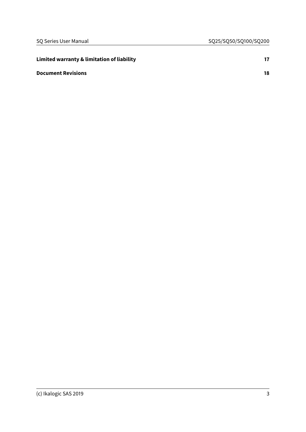| Limited warranty & limitation of liability |    |
|--------------------------------------------|----|
| <b>Document Revisions</b>                  | 18 |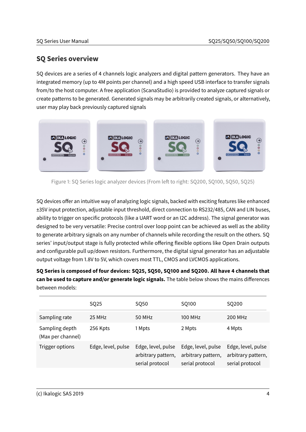## <span id="page-3-0"></span>**SQ Series overview**

SQ devices are a series of 4 channels logic analyzers and digital pattern generators. They have an integrated memory (up to 4M points per channel) and a high speed USB interface to transfer signals from/to the host computer. A free application (ScanaStudio) is provided to analyze captured signals or create patterns to be generated. Generated signals may be arbitrarily created signals, or alternatively, user may play back previously captured signals



Figure 1: SQ Series logic analyzer devices (From left to right: SQ200, SQ100, SQ50, SQ25)

SQ devices offer an intuitive way of analyzing logic signals, backed with exciting features like enhanced ±35V input protection, adjustable input threshold, direct connection to RS232/485, CAN and LIN buses, ability to trigger on specific protocols (like a UART word or an I2C address). The signal generator was designed to be very versatile: Precise control over loop point can be achieved as well as the ability to generate arbitrary signals on any number of channels while recording the result on the others. SQ series' input/output stage is fully protected while offering flexible options like Open Drain outputs and configurable pull up/down resistors. Furthermore, the digital signal generator has an adjustable output voltage from 1.8V to 5V, which covers most TTL, CMOS and LVCMOS applications.

**SQ Series is composed of four devices: SQ25, SQ50, SQ100 and SQ200. All have 4 channels that can be used to capture and/or generate logic signals.** The table below shows the mains differences between models:

|                                     | SQ25               | SQ50                                                        | SQ100                                                       | SQ200                                                       |
|-------------------------------------|--------------------|-------------------------------------------------------------|-------------------------------------------------------------|-------------------------------------------------------------|
| Sampling rate                       | 25 MHz             | 50 MHz                                                      | 100 MHz                                                     | 200 MHz                                                     |
| Sampling depth<br>(Max per channel) | 256 Kpts           | 1 Mpts                                                      | 2 Mpts                                                      | 4 Mpts                                                      |
| Trigger options                     | Edge, level, pulse | Edge, level, pulse<br>arbitrary pattern,<br>serial protocol | Edge, level, pulse<br>arbitrary pattern,<br>serial protocol | Edge, level, pulse<br>arbitrary pattern,<br>serial protocol |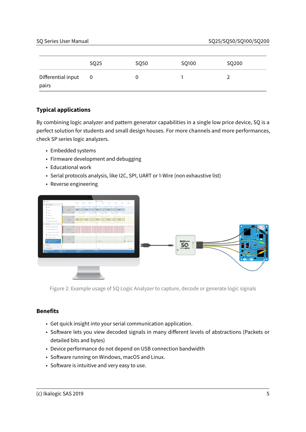|                             | SQ25 | SQ <sub>50</sub> | SQ100 | SQ200 |
|-----------------------------|------|------------------|-------|-------|
| Differential input<br>pairs | 0    |                  |       |       |

#### <span id="page-4-0"></span>**Typical applications**

By combining logic analyzer and pattern generator capabilities in a single low price device, SQ is a perfect solution for students and small design houses. For more channels and more performances, check SP series logic analyzers.

- Embedded systems
- Firmware development and debugging
- Educational work
- Serial protocols analysis, like I2C, SPI, UART or 1-Wire (non exhaustive list)
- Reverse engineering

| $\blacktriangleright$ Start                 | $110.3 \, \text{ms}$<br>$+10 \,\mu s$<br>$+2.0~\mu\mathrm{s}$<br>+30 ps +40 ps +50 ps<br>+70 µs +80 µs +90 µs |                                               |
|---------------------------------------------|---------------------------------------------------------------------------------------------------------------|-----------------------------------------------|
| $\vee$ Workspace                            |                                                                                                               |                                               |
| $+$ New                                     | ovsc<br><b>Oxford</b><br>0x8C<br><b>OxBC</b><br><b>OxSC</b><br><b>MOSI</b>                                    |                                               |
| to Open<br>El Save                          |                                                                                                               |                                               |
| <b>El Saveas</b>                            |                                                                                                               |                                               |
| <b>III</b> Export as CSV                    |                                                                                                               |                                               |
| C Duplicate workspace                       | 0x50<br>0 <sub>n</sub> 52<br><b>MISO</b><br>Oc4A<br>0.40C<br>0.48                                             |                                               |
| $\vee$ Device                               |                                                                                                               |                                               |
| @ Mode: Capture mode                        |                                                                                                               | <b>REE</b>                                    |
| F Target voltage: 3.3 V                     | <b>SCLK</b>                                                                                                   |                                               |
| + Sampling rate: 25 MHz                     |                                                                                                               |                                               |
| Nemory configuration                        |                                                                                                               |                                               |
| III Configure in/out                        | CS                                                                                                            | <b>Continued</b><br><b>SECTION</b>            |
| O Capture time: 160 ms<br>Resolution: 40 ns | $171,000$ us $-$<br>$+ 1.001$ ms $-$<br><b>IND</b>                                                            | <b>EN ITS</b> LOGIC<br>man e<br>$\circledast$ |
| > Views                                     |                                                                                                               | п                                             |
| > Annotate                                  | $+9 -$                                                                                                        | SCHANGUAN 19700                               |
| ScanaQuad \$Q200<br><b>Ready</b>            | Captured time<br>Sampling rate<br>25 MHz<br>No trigger<br>$160 \text{ ms}$                                    |                                               |
|                                             |                                                                                                               |                                               |
|                                             |                                                                                                               |                                               |
|                                             |                                                                                                               | ,,,,,,,                                       |
|                                             |                                                                                                               |                                               |
|                                             |                                                                                                               |                                               |
|                                             |                                                                                                               |                                               |
|                                             |                                                                                                               |                                               |
|                                             |                                                                                                               |                                               |
|                                             |                                                                                                               |                                               |

Figure 2: Example usage of SQ Logic Analyzer to capture, decode or generate logic signals

#### <span id="page-4-1"></span>**Benefits**

- Get quick insight into your serial communication application.
- Software lets you view decoded signals in many different levels of abstractions (Packets or detailed bits and bytes)
- Device performance do not depend on USB connection bandwidth
- Software running on Windows, macOS and Linux.
- Software is intuitive and very easy to use.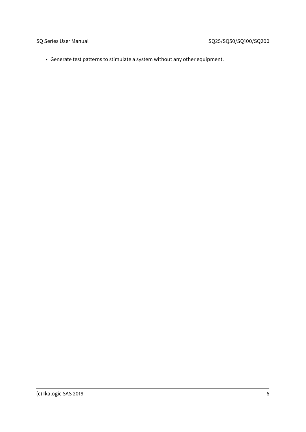• Generate test patterns to stimulate a system without any other equipment.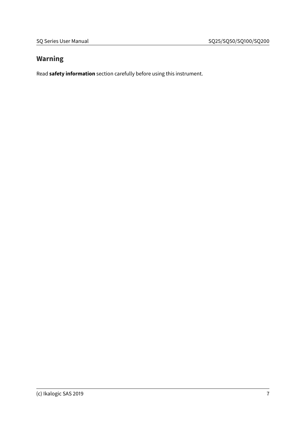## <span id="page-6-0"></span>**Warning**

Read **[safety information](#page-15-3)** section carefully before using this instrument.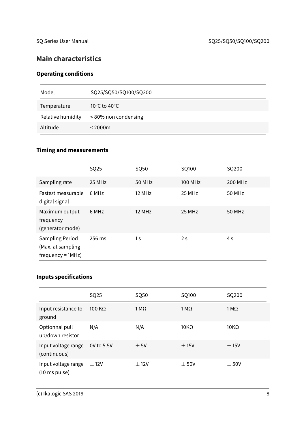## <span id="page-7-0"></span>**Main characteristics**

## <span id="page-7-1"></span>**Operating conditions**

| Model             | SQ25/SQ50/SQ100/SQ200 |
|-------------------|-----------------------|
| Temperature       | 10°C to 40°C          |
| Relative humidity | <80% non condensing   |
| Altitude          | $<$ 2000 $m$          |

#### <span id="page-7-2"></span>**Timing and measurements**

|                                                             | SQ25   | SQ50           | SQ100          | SQ200   |
|-------------------------------------------------------------|--------|----------------|----------------|---------|
| Sampling rate                                               | 25 MHz | 50 MHz         | 100 MHz        | 200 MHz |
| <b>Fastest measurable</b><br>digital signal                 | 6 MHz  | 12 MHz         | 25 MHz         | 50 MHz  |
| Maximum output<br>frequency<br>(generator mode)             | 6 MHz  | 12 MHz         | 25 MHz         | 50 MHz  |
| Sampling Period<br>(Max. at sampling<br>$frequency = 1MHz)$ | 256 ms | 1 <sub>s</sub> | 2 <sub>s</sub> | 4 s     |

## <span id="page-7-3"></span>**Inputs specifications**

|                                      | SQ25           | SQ50         | SQ100       | SQ200        |
|--------------------------------------|----------------|--------------|-------------|--------------|
| Input resistance to<br>ground        | 100 K $\Omega$ | 1 M $\Omega$ | $1 M\Omega$ | 1 M $\Omega$ |
| Optionnal pull<br>up/down resistor   | N/A            | N/A          | $10K\Omega$ | $10K\Omega$  |
| Input voltage range<br>(continuous)  | 0V to 5.5V     | $\pm$ 5V     | ±15V        | ± 15V        |
| Input voltage range<br>(10 ms pulse) | ± 12V          | ± 12V        | ± 50V       | $\pm$ 50V    |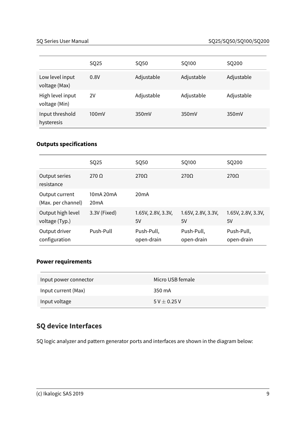|                                   | SQ25  | SQ50       | SQ100      | SQ200      |
|-----------------------------------|-------|------------|------------|------------|
| Low level input<br>voltage (Max)  | 0.8V  | Adjustable | Adjustable | Adjustable |
| High level input<br>voltage (Min) | 2V    | Adjustable | Adjustable | Adjustable |
| Input threshold<br>hysteresis     | 100mV | 350mV      | 350mV      | 350mV      |

## <span id="page-8-0"></span>**Outputs specifications**

|                                      | SQ25              | SQ50                     | SQ100                    | SQ200                    |
|--------------------------------------|-------------------|--------------------------|--------------------------|--------------------------|
| Output series<br>resistance          | $270 \Omega$      | $270\Omega$              | $270\Omega$              | $270\Omega$              |
| Output current<br>(Max. per channel) | 10mA 20mA<br>20mA | 20mA                     |                          |                          |
| Output high level<br>voltage (Typ.)  | 3.3V (Fixed)      | 1.65V, 2.8V, 3.3V,<br>5V | 1.65V, 2.8V, 3.3V,<br>5V | 1.65V, 2.8V, 3.3V,<br>5V |
| Output driver<br>configuration       | Push-Pull         | Push-Pull,<br>open-drain | Push-Pull,<br>open-drain | Push-Pull,<br>open-drain |

#### <span id="page-8-1"></span>**Power requirements**

| Input power connector | Micro USB female   |
|-----------------------|--------------------|
| Input current (Max)   | 350 mA             |
| Input voltage         | $5$ V $\pm$ 0.25 V |

## <span id="page-8-2"></span>**SQ device Interfaces**

SQ logic analyzer and pattern generator ports and interfaces are shown in the diagram below: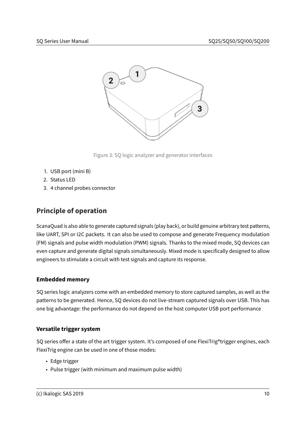

Figure 3: SQ logic analyzer and generator interfaces

- 1. USB port (mini B)
- 2. Status LED
- 3. 4 channel probes connector

## <span id="page-9-0"></span>**Principle of operation**

ScanaQuad is also able to generate captured signals (play back), or build genuine arbitrary test patterns, like UART, SPI or I2C packets. It can also be used to compose and generate Frequency modulation (FM) signals and pulse width modulation (PWM) signals. Thanks to the mixed mode, SQ devices can even capture and generate digital signals simultaneously. Mixed mode is specifically designed to allow engineers to stimulate a circuit with test signals and capture its response.

#### <span id="page-9-1"></span>**Embedded memory**

SQ series logic analyzers come with an embedded memory to store captured samples, as well as the patterns to be generated. Hence, SQ devices do not live-stream captured signals over USB. This has one big advantage: the performance do not depend on the host computer USB port performance

#### <span id="page-9-2"></span>**Versatile trigger system**

SQ series offer a state of the art trigger system. It's composed of one FlexiTrig®trigger engines, each FlexiTrig engine can be used in one of those modes:

- Edge trigger
- Pulse trigger (with minimum and maximum pulse width)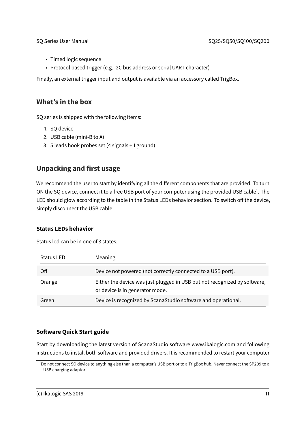- Timed logic sequence
- Protocol based trigger (e.g. I2C bus address or serial UART character)

Finally, an external trigger input and output is available via an accessory called TrigBox.

### <span id="page-10-0"></span>**What's in the box**

SQ series is shipped with the following items:

- 1. SQ device
- 2. USB cable (mini-B to A)
- 3. 5 leads hook probes set (4 signals + 1 ground)

## <span id="page-10-1"></span>**Unpacking and first usage**

We recommend the user to start by identifying all the different components that are provided. To turn ON the SQ device, connect it to a free USB port of your computer using the provided USB cable<sup>[1](#page-10-4)</sup>. The LED should glow according to the table in the [Status LEDs behavior](#page-10-5) section. To switch off the device, simply disconnect the USB cable.

#### <span id="page-10-5"></span><span id="page-10-2"></span>**Status LEDs behavior**

Status led can be in one of 3 states:

| Status LED | Meaning                                                                                                      |
|------------|--------------------------------------------------------------------------------------------------------------|
| Off        | Device not powered (not correctly connected to a USB port).                                                  |
| Orange     | Either the device was just plugged in USB but not recognized by software,<br>or device is in generator mode. |
| Green      | Device is recognized by ScanaStudio software and operational.                                                |

#### <span id="page-10-3"></span>**Software Quick Start guide**

Start by downloading the latest version of ScanaStudio software www.ikalogic.com and following instructions to install both software and provided drivers. It is recommended to restart your computer

<span id="page-10-4"></span><sup>&</sup>lt;sup>1</sup>Do not connect SQ device to anything else than a computer's USB port or to a TrigBox hub. Never connect the SP209 to a USB charging adaptor.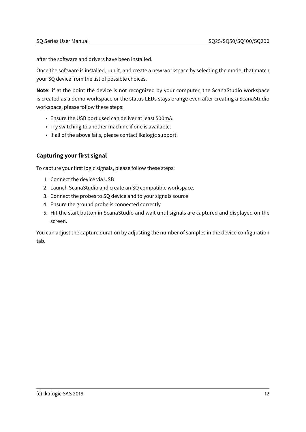after the software and drivers have been installed.

Once the software is installed, run it, and create a new workspace by selecting the model that match your SQ device from the list of possible choices.

**Note**: if at the point the device is not recognized by your computer, the ScanaStudio workspace is created as a demo workspace or the status LEDs stays orange even after creating a ScanaStudio workspace, please follow these steps:

- Ensure the USB port used can deliver at least 500mA.
- Try switching to another machine if one is available.
- If all of the above fails, please contact Ikalogic support.

#### <span id="page-11-0"></span>**Capturing your first signal**

To capture your first logic signals, please follow these steps:

- 1. Connect the device via USB
- 2. Launch ScanaStudio and create an SQ compatible workspace.
- 3. Connect the probes to SQ device and to your signals source
- 4. Ensure the ground probe is connected correctly
- 5. Hit the start button in ScanaStudio and wait until signals are captured and displayed on the screen.

You can adjust the capture duration by adjusting the number of samples in the device configuration tab.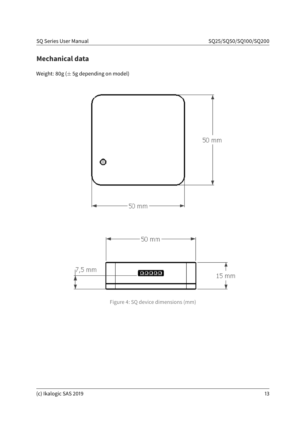## <span id="page-12-0"></span>**Mechanical data**

Weight:  $80g (\pm 5g)$  depending on model)



Figure 4: SQ device dimensions (mm)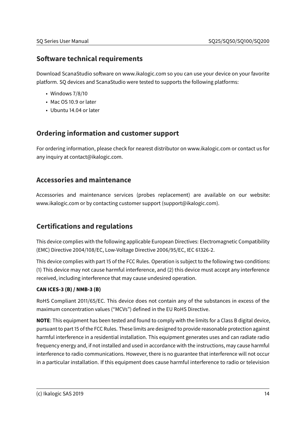## <span id="page-13-0"></span>**Software technical requirements**

Download ScanaStudio software on www.ikalogic.com so you can use your device on your favorite platform. SQ devices and ScanaStudio were tested to supports the following platforms:

- Windows 7/8/10
- Mac OS 10.9 or later
- Ubuntu 14.04 or later

## <span id="page-13-1"></span>**Ordering information and customer support**

For ordering information, please check for nearest distributor on www.ikalogic.com or contact us for any inquiry at contact@ikalogic.com.

## <span id="page-13-2"></span>**Accessories and maintenance**

Accessories and maintenance services (probes replacement) are available on our website: www.ikalogic.com or by contacting customer support (support@ikalogic.com).

## <span id="page-13-3"></span>**Certifications and regulations**

This device complies with the following applicable European Directives: Electromagnetic Compatibility (EMC) Directive 2004/108/EC, Low-Voltage Directive 2006/95/EC, IEC 61326-2.

This device complies with part 15 of the FCC Rules. Operation is subject to the following two conditions: (1) This device may not cause harmful interference, and (2) this device must accept any interference received, including interference that may cause undesired operation.

#### **CAN ICES-3 (B) / NMB-3 (B)**

RoHS Compliant 2011/65/EC. This device does not contain any of the substances in excess of the maximum concentration values ("MCVs") defined in the EU RoHS Directive.

**NOTE**: This equipment has been tested and found to comply with the limits for a Class B digital device, pursuant to part 15 of the FCC Rules. These limits are designed to provide reasonable protection against harmful interference in a residential installation. This equipment generates uses and can radiate radio frequency energy and, if not installed and used in accordance with the instructions, may cause harmful interference to radio communications. However, there is no guarantee that interference will not occur in a particular installation. If this equipment does cause harmful interference to radio or television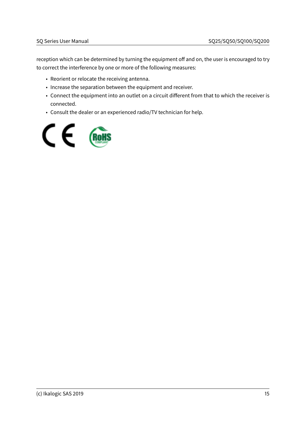reception which can be determined by turning the equipment off and on, the user is encouraged to try to correct the interference by one or more of the following measures:

- Reorient or relocate the receiving antenna.
- Increase the separation between the equipment and receiver.
- Connect the equipment into an outlet on a circuit different from that to which the receiver is connected.
- Consult the dealer or an experienced radio/TV technician for help.

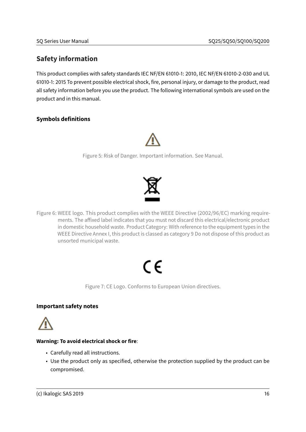## <span id="page-15-3"></span><span id="page-15-0"></span>**Safety information**

This product complies with safety standards IEC NF/EN 61010-1: 2010, IEC NF/EN 61010-2-030 and UL 61010-1: 2015 To prevent possible electrical shock, fire, personal injury, or damage to the product, read all safety information before you use the product. The following international symbols are used on the product and in this manual.

#### <span id="page-15-1"></span>**Symbols definitions**



Figure 5: Risk of Danger. Important information. See Manual.



Figure 6: WEEE logo. This product complies with the WEEE Directive (2002/96/EC) marking requirements. The affixed label indicates that you must not discard this electrical/electronic product in domestic household waste. Product Category: With reference to the equipment types in the WEEE Directive Annex I, this product is classed as category 9 Do not dispose of this product as unsorted municipal waste.

# ( F

Figure 7: CE Logo. Conforms to European Union directives.

#### <span id="page-15-2"></span>**Important safety notes**



#### **Warning: To avoid electrical shock or fire**:

- Carefully read all instructions.
- Use the product only as specified, otherwise the protection supplied by the product can be compromised.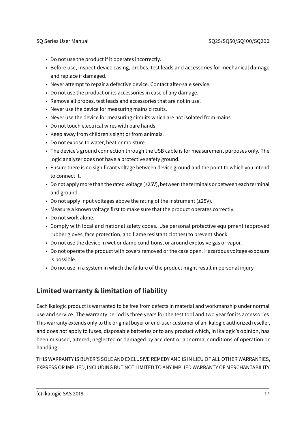- Do not use the product if it operates incorrectly.
- Before use, inspect device casing, probes, test leads and accessories for mechanical damage and replace if damaged.
- Never attempt to repair a defective device. Contact after-sale service.
- Do not use the product or its accessories in case of any damage.
- Remove all probes, test leads and accessories that are not in use.
- Never use the device for measuring mains circuits.
- Never use the device for measuring circuits which are not isolated from mains.
- Do not touch electrical wires with bare hands.
- Keep away from children's sight or from animals.
- Do not expose to water, heat or moisture.
- The device's ground connection through the USB cable is for measurement purposes only. The logic analyzer does not have a protective safety ground.
- Ensure there is no significant voltage between device ground and the point to which you intend to connect it.
- Do not apply more than the rated voltage (±25V), between the terminals or between each terminal and ground.
- Do not apply input voltages above the rating of the instrument (±25V).
- Measure a known voltage first to make sure that the product operates correctly.
- Do not work alone.
- Comply with local and national safety codes. Use personal protective equipment (approved rubber gloves, face protection, and flame resistant clothes) to prevent shock.
- Do not use the device in wet or damp conditions, or around explosive gas or vapor.
- Do not operate the product with covers removed or the case open. Hazardous voltage exposure is possible.
- Do not use in a system in which the failure of the product might result in personal injury.

## <span id="page-16-0"></span>**Limited warranty & limitation of liability**

Each Ikalogic product is warranted to be free from defects in material and workmanship under normal use and service. The warranty period is three years for the test tool and two year for its accessories. This warranty extends only to the original buyer or end-user customer of an Ikalogic authorized reseller, and does not apply to fuses, disposable batteries or to any product which, in Ikalogic's opinion, has been misused, altered, neglected or damaged by accident or abnormal conditions of operation or handling.

THIS WARRANTY IS BUYER'S SOLE AND EXCLUSIVE REMEDY AND IS IN LIEU OF ALL OTHER WARRANTIES, EXPRESS OR IMPLIED, INCLUDING BUT NOT LIMITED TO ANY IMPLIED WARRANTY OF MERCHANTABILITY